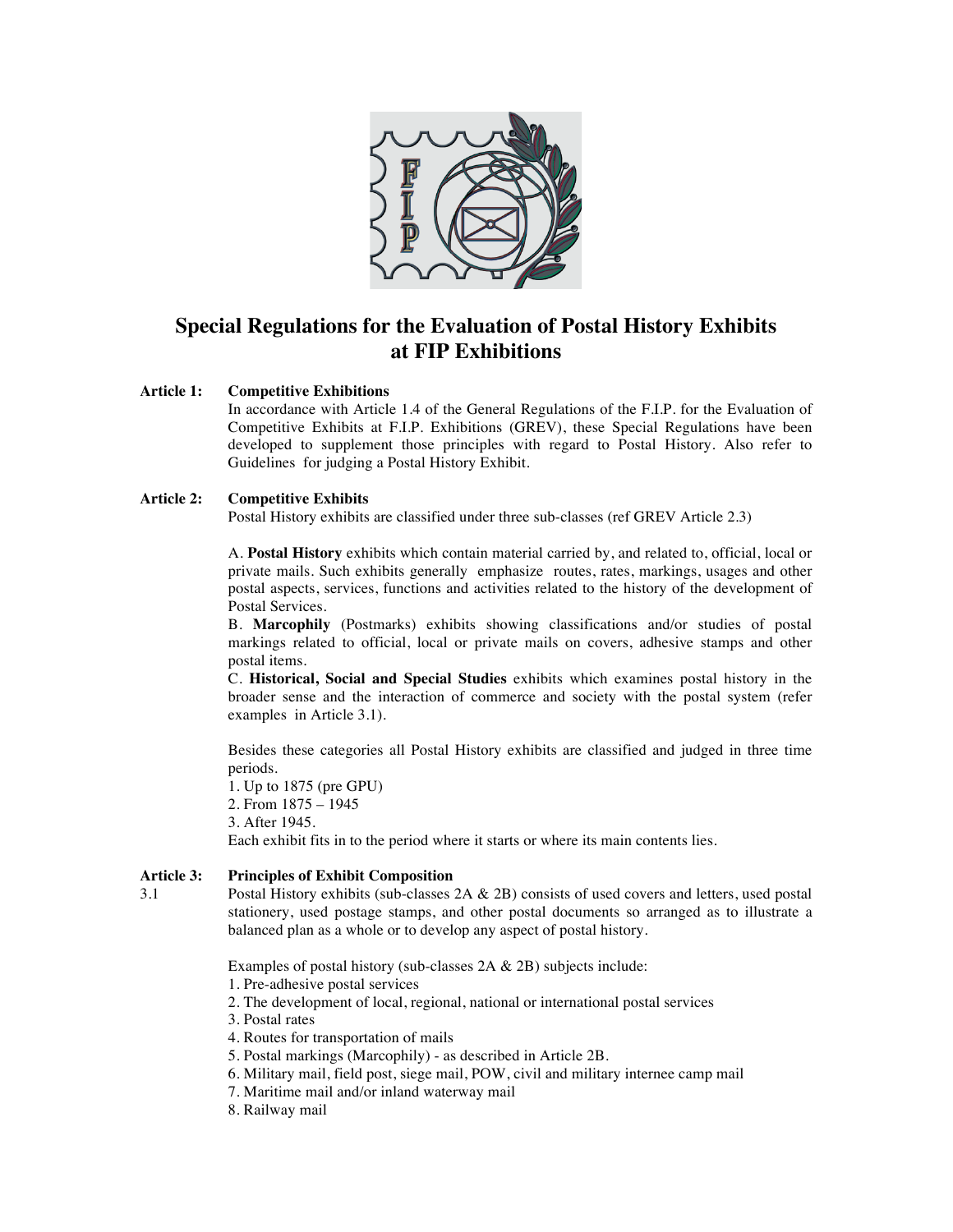

# **Special Regulations for the Evaluation of Postal History Exhibits at FIP Exhibitions**

#### **Article 1: Competitive Exhibitions**

In accordance with Article 1.4 of the General Regulations of the F.I.P. for the Evaluation of Competitive Exhibits at F.I.P. Exhibitions (GREV), these Special Regulations have been developed to supplement those principles with regard to Postal History. Also refer to Guidelines for judging a Postal History Exhibit.

#### **Article 2: Competitive Exhibits**

Postal History exhibits are classified under three sub-classes (ref GREV Article 2.3)

A. **Postal History** exhibits which contain material carried by, and related to, official, local or private mails. Such exhibits generally emphasize routes, rates, markings, usages and other postal aspects, services, functions and activities related to the history of the development of Postal Services.

B. **Marcophily** (Postmarks) exhibits showing classifications and/or studies of postal markings related to official, local or private mails on covers, adhesive stamps and other postal items.

C. **Historical, Social and Special Studies** exhibits which examines postal history in the broader sense and the interaction of commerce and society with the postal system (refer examples in Article 3.1).

Besides these categories all Postal History exhibits are classified and judged in three time periods.

1. Up to 1875 (pre GPU) 2. From 1875 – 1945 3. After 1945. Each exhibit fits in to the period where it starts or where its main contents lies.

#### **Article 3: Principles of Exhibit Composition**

3.1 Postal History exhibits (sub-classes 2A & 2B) consists of used covers and letters, used postal stationery, used postage stamps, and other postal documents so arranged as to illustrate a balanced plan as a whole or to develop any aspect of postal history.

Examples of postal history (sub-classes 2A & 2B) subjects include:

- 1. Pre-adhesive postal services
- 2. The development of local, regional, national or international postal services
- 3. Postal rates
- 4. Routes for transportation of mails
- 5. Postal markings (Marcophily) as described in Article 2B.
- 6. Military mail, field post, siege mail, POW, civil and military internee camp mail
- 7. Maritime mail and/or inland waterway mail
- 8. Railway mail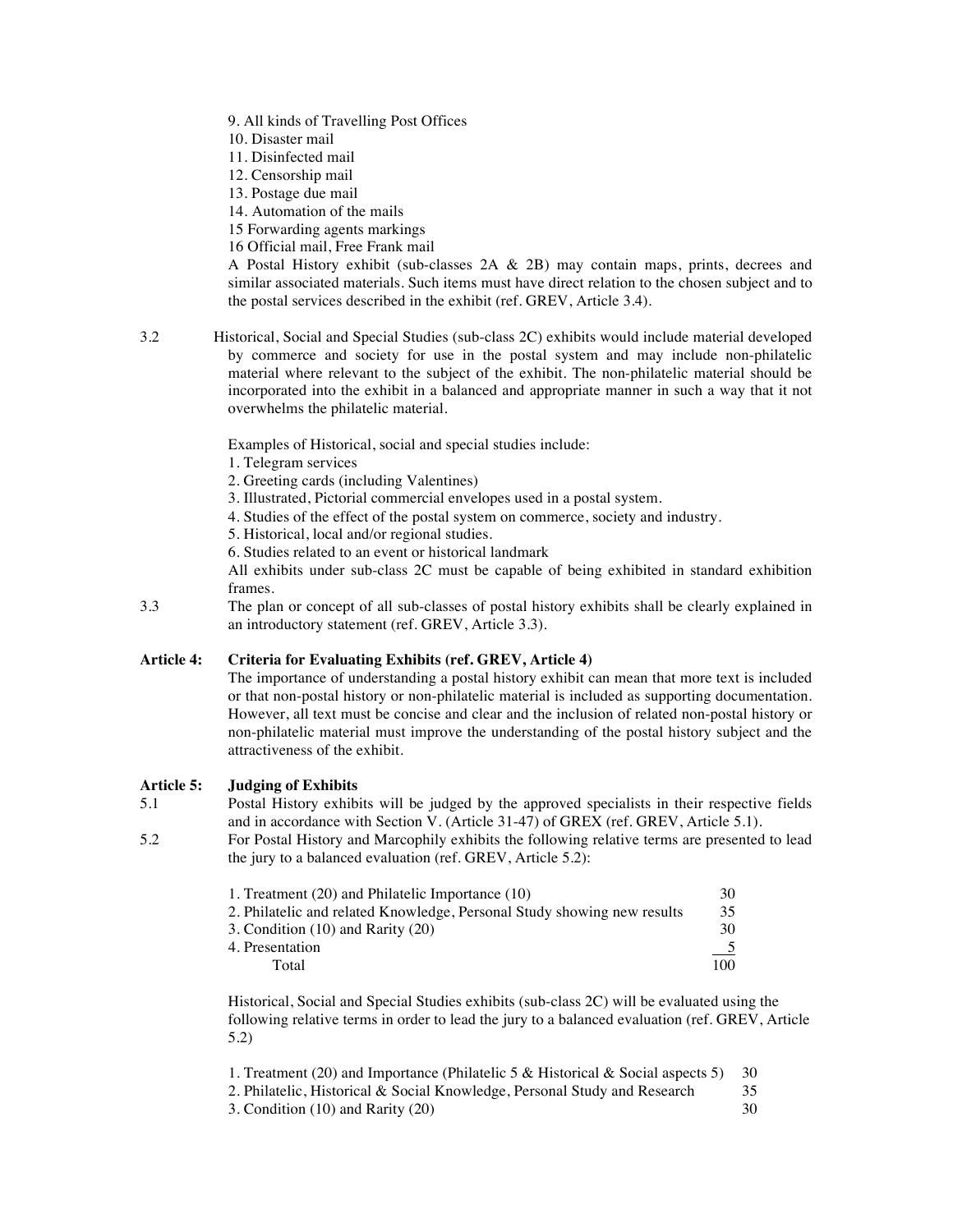- 9. All kinds of Travelling Post Offices
- 10. Disaster mail
- 11. Disinfected mail
- 12. Censorship mail
- 13. Postage due mail
- 14. Automation of the mails
- 15 Forwarding agents markings
- 16 Official mail, Free Frank mail

A Postal History exhibit (sub-classes 2A & 2B) may contain maps, prints, decrees and similar associated materials. Such items must have direct relation to the chosen subject and to the postal services described in the exhibit (ref. GREV, Article 3.4).

3.2 Historical, Social and Special Studies (sub-class 2C) exhibits would include material developed by commerce and society for use in the postal system and may include non-philatelic material where relevant to the subject of the exhibit. The non-philatelic material should be incorporated into the exhibit in a balanced and appropriate manner in such a way that it not overwhelms the philatelic material.

Examples of Historical, social and special studies include:

- 1. Telegram services
- 2. Greeting cards (including Valentines)
- 3. Illustrated, Pictorial commercial envelopes used in a postal system.
- 4. Studies of the effect of the postal system on commerce, society and industry.
- 5. Historical, local and/or regional studies.
- 6. Studies related to an event or historical landmark

All exhibits under sub-class 2C must be capable of being exhibited in standard exhibition frames.

3.3 The plan or concept of all sub-classes of postal history exhibits shall be clearly explained in an introductory statement (ref. GREV, Article 3.3).

#### **Article 4: Criteria for Evaluating Exhibits (ref. GREV, Article 4)**

The importance of understanding a postal history exhibit can mean that more text is included or that non-postal history or non-philatelic material is included as supporting documentation. However, all text must be concise and clear and the inclusion of related non-postal history or non-philatelic material must improve the understanding of the postal history subject and the attractiveness of the exhibit.

#### **Article 5: Judging of Exhibits**

5.1 Postal History exhibits will be judged by the approved specialists in their respective fields and in accordance with Section V. (Article 31-47) of GREX (ref. GREV, Article 5.1).

5.2 For Postal History and Marcophily exhibits the following relative terms are presented to lead the jury to a balanced evaluation (ref. GREV, Article 5.2):

| 1. Treatment (20) and Philatelic Importance (10)                        | 30. |
|-------------------------------------------------------------------------|-----|
| 2. Philatelic and related Knowledge, Personal Study showing new results | 35  |
| 3. Condition $(10)$ and Rarity $(20)$                                   | 30  |
| 4. Presentation                                                         |     |
| Total                                                                   | 100 |

Historical, Social and Special Studies exhibits (sub-class 2C) will be evaluated using the following relative terms in order to lead the jury to a balanced evaluation (ref. GREV, Article 5.2)

| 1. Treatment (20) and Importance (Philatelic 5 & Historical & Social aspects 5) | - 30 - |
|---------------------------------------------------------------------------------|--------|
| 2. Philatelic, Historical & Social Knowledge, Personal Study and Research       |        |
| 3. Condition (10) and Rarity (20)                                               | 30     |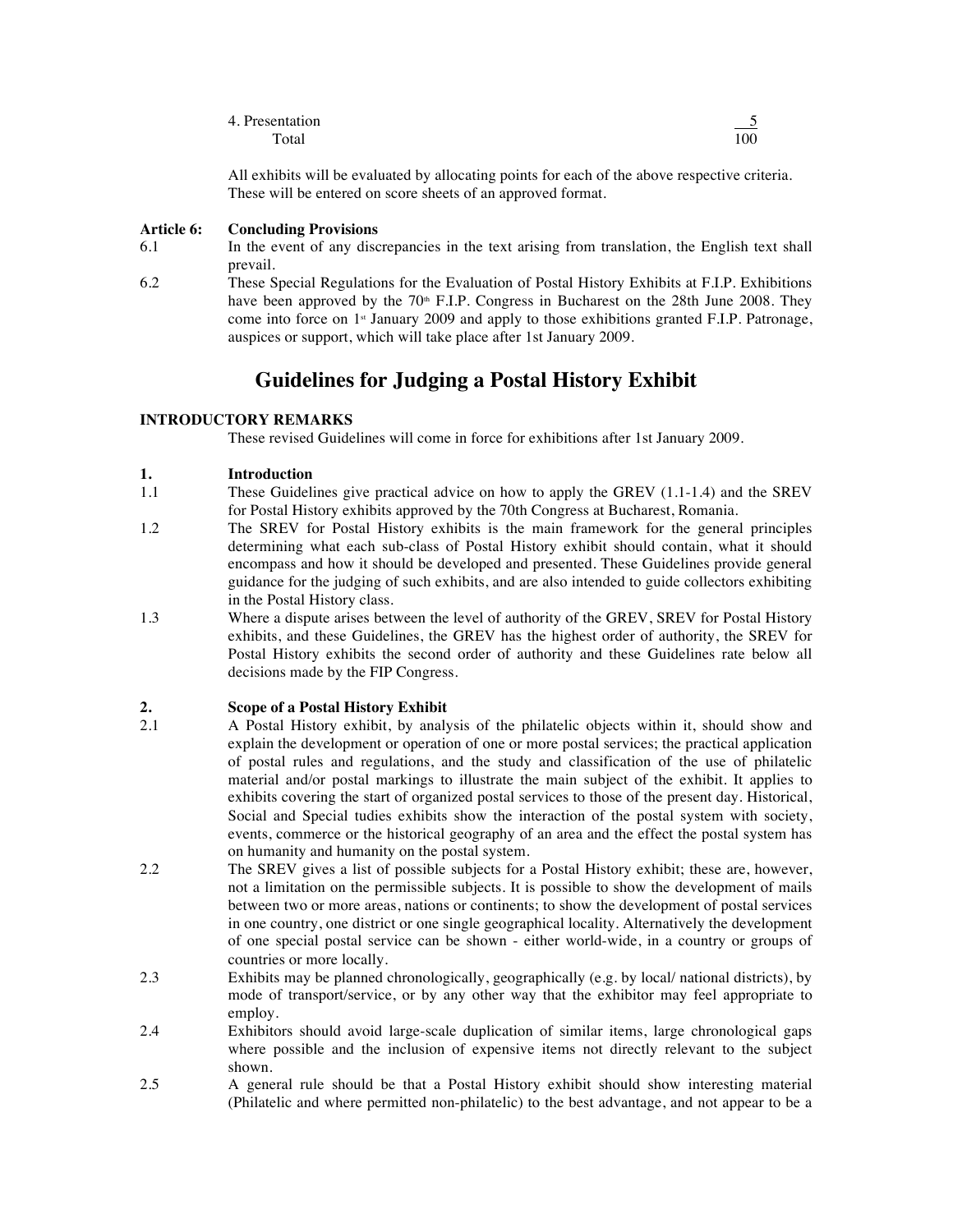| 4. Presentation |     |
|-----------------|-----|
| Total           | 100 |

All exhibits will be evaluated by allocating points for each of the above respective criteria. These will be entered on score sheets of an approved format.

#### **Article 6: Concluding Provisions**

6.1 In the event of any discrepancies in the text arising from translation, the English text shall prevail.

6.2 These Special Regulations for the Evaluation of Postal History Exhibits at F.I.P. Exhibitions have been approved by the  $70<sup>th</sup>$  F.I.P. Congress in Bucharest on the 28th June 2008. They come into force on 1<sup>st</sup> January 2009 and apply to those exhibitions granted F.I.P. Patronage, auspices or support, which will take place after 1st January 2009.

## **Guidelines for Judging a Postal History Exhibit**

#### **INTRODUCTORY REMARKS**

These revised Guidelines will come in force for exhibitions after 1st January 2009.

#### **1. Introduction**

- 1.1 These Guidelines give practical advice on how to apply the GREV (1.1-1.4) and the SREV for Postal History exhibits approved by the 70th Congress at Bucharest, Romania.
- 1.2 The SREV for Postal History exhibits is the main framework for the general principles determining what each sub-class of Postal History exhibit should contain, what it should encompass and how it should be developed and presented. These Guidelines provide general guidance for the judging of such exhibits, and are also intended to guide collectors exhibiting in the Postal History class.
- 1.3 Where a dispute arises between the level of authority of the GREV, SREV for Postal History exhibits, and these Guidelines, the GREV has the highest order of authority, the SREV for Postal History exhibits the second order of authority and these Guidelines rate below all decisions made by the FIP Congress.

# **2. Scope of a Postal History Exhibit**

- 2.1 A Postal History exhibit, by analysis of the philatelic objects within it, should show and explain the development or operation of one or more postal services; the practical application of postal rules and regulations, and the study and classification of the use of philatelic material and/or postal markings to illustrate the main subject of the exhibit. It applies to exhibits covering the start of organized postal services to those of the present day. Historical, Social and Special tudies exhibits show the interaction of the postal system with society, events, commerce or the historical geography of an area and the effect the postal system has on humanity and humanity on the postal system.
- 2.2 The SREV gives a list of possible subjects for a Postal History exhibit; these are, however, not a limitation on the permissible subjects. It is possible to show the development of mails between two or more areas, nations or continents; to show the development of postal services in one country, one district or one single geographical locality. Alternatively the development of one special postal service can be shown - either world-wide, in a country or groups of countries or more locally.
- 2.3 Exhibits may be planned chronologically, geographically (e.g. by local/ national districts), by mode of transport/service, or by any other way that the exhibitor may feel appropriate to employ.
- 2.4 Exhibitors should avoid large-scale duplication of similar items, large chronological gaps where possible and the inclusion of expensive items not directly relevant to the subject shown.
- 2.5 A general rule should be that a Postal History exhibit should show interesting material (Philatelic and where permitted non-philatelic) to the best advantage, and not appear to be a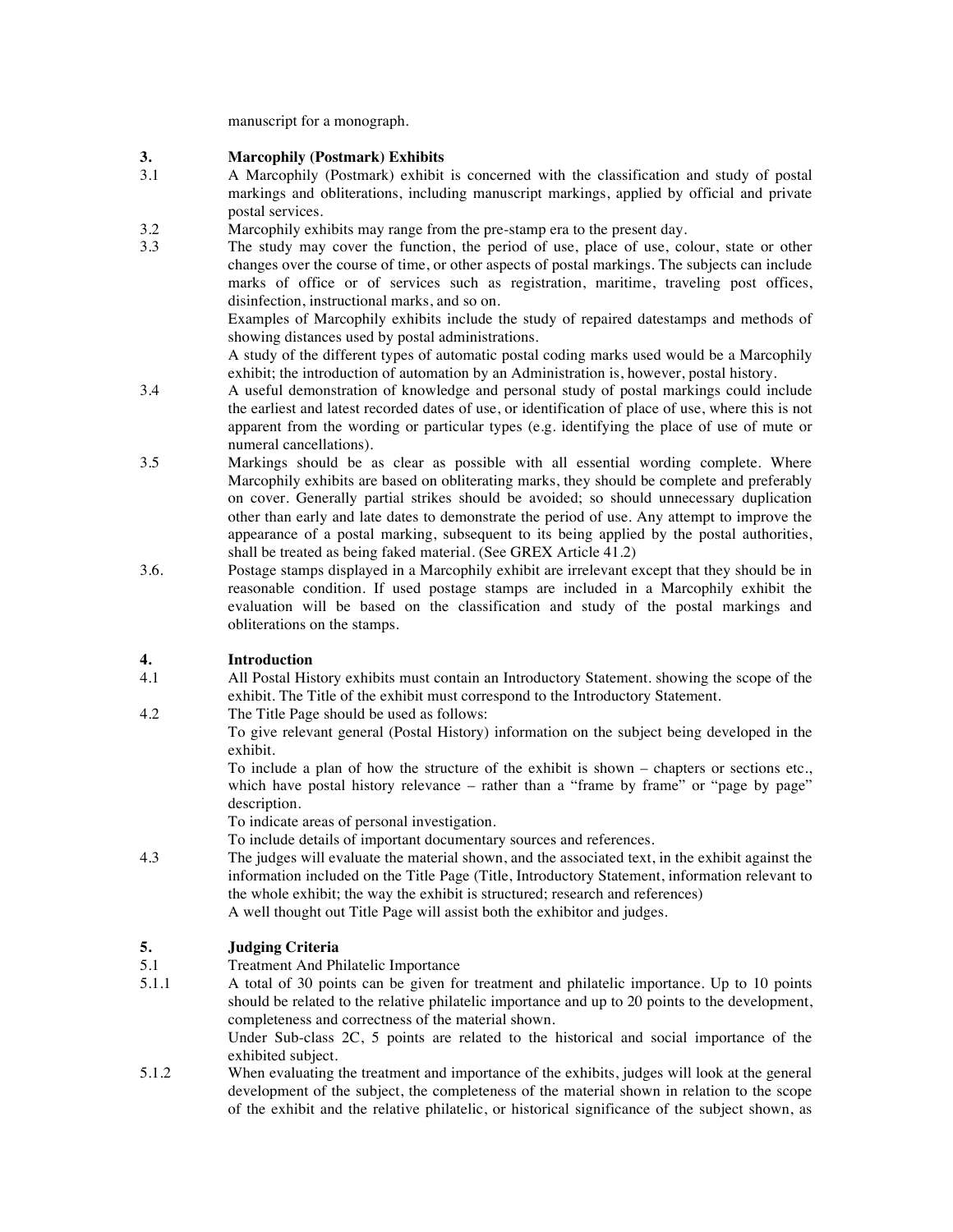manuscript for a monograph.

# **3. Marcophily (Postmark) Exhibits**

- 3.1 A Marcophily (Postmark) exhibit is concerned with the classification and study of postal markings and obliterations, including manuscript markings, applied by official and private postal services.
- 3.2 Marcophily exhibits may range from the pre-stamp era to the present day.<br>3.3 The study may cover the function, the period of use, place of use, co
	- The study may cover the function, the period of use, place of use, colour, state or other changes over the course of time, or other aspects of postal markings. The subjects can include marks of office or of services such as registration, maritime, traveling post offices, disinfection, instructional marks, and so on.

Examples of Marcophily exhibits include the study of repaired datestamps and methods of showing distances used by postal administrations.

A study of the different types of automatic postal coding marks used would be a Marcophily exhibit; the introduction of automation by an Administration is, however, postal history.

- 3.4 A useful demonstration of knowledge and personal study of postal markings could include the earliest and latest recorded dates of use, or identification of place of use, where this is not apparent from the wording or particular types (e.g. identifying the place of use of mute or numeral cancellations).
- 3.5 Markings should be as clear as possible with all essential wording complete. Where Marcophily exhibits are based on obliterating marks, they should be complete and preferably on cover. Generally partial strikes should be avoided; so should unnecessary duplication other than early and late dates to demonstrate the period of use. Any attempt to improve the appearance of a postal marking, subsequent to its being applied by the postal authorities, shall be treated as being faked material. (See GREX Article 41.2)
- 3.6. Postage stamps displayed in a Marcophily exhibit are irrelevant except that they should be in reasonable condition. If used postage stamps are included in a Marcophily exhibit the evaluation will be based on the classification and study of the postal markings and obliterations on the stamps.

## **4. Introduction**

- 4.1 All Postal History exhibits must contain an Introductory Statement. showing the scope of the exhibit. The Title of the exhibit must correspond to the Introductory Statement.
- 4.2 The Title Page should be used as follows:

To give relevant general (Postal History) information on the subject being developed in the exhibit.

To include a plan of how the structure of the exhibit is shown – chapters or sections etc., which have postal history relevance – rather than a "frame by frame" or "page by page" description.

To indicate areas of personal investigation.

To include details of important documentary sources and references.

4.3 The judges will evaluate the material shown, and the associated text, in the exhibit against the information included on the Title Page (Title, Introductory Statement, information relevant to the whole exhibit; the way the exhibit is structured; research and references) A well thought out Title Page will assist both the exhibitor and judges.

## **5. Judging Criteria**

- 5.1 Treatment And Philatelic Importance<br>5.1.1 A total of 30 points can be given fo
- 5.1.1 A total of 30 points can be given for treatment and philatelic importance. Up to 10 points should be related to the relative philatelic importance and up to 20 points to the development, completeness and correctness of the material shown.

Under Sub-class 2C, 5 points are related to the historical and social importance of the exhibited subject.

5.1.2 When evaluating the treatment and importance of the exhibits, judges will look at the general development of the subject, the completeness of the material shown in relation to the scope of the exhibit and the relative philatelic, or historical significance of the subject shown, as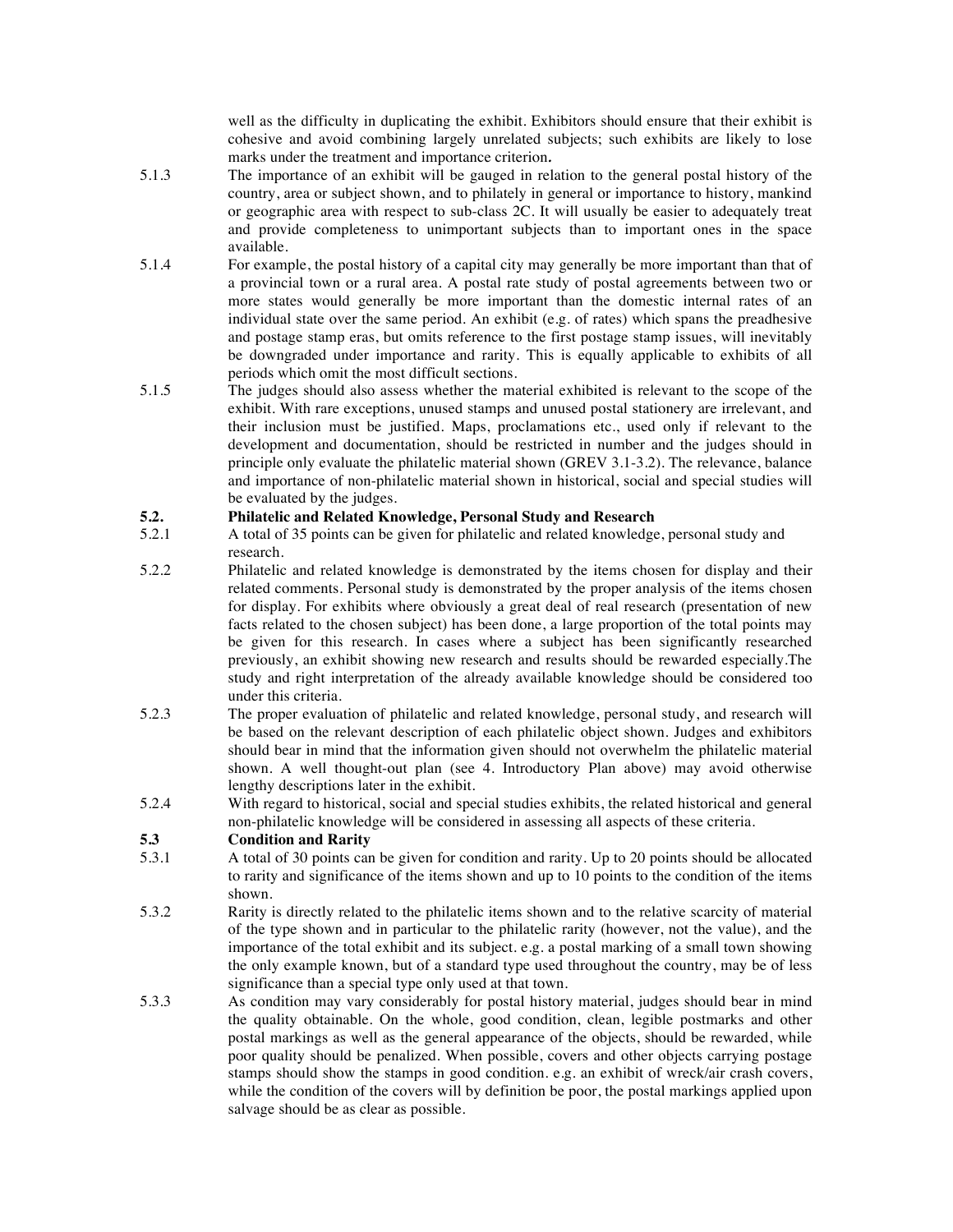well as the difficulty in duplicating the exhibit. Exhibitors should ensure that their exhibit is cohesive and avoid combining largely unrelated subjects; such exhibits are likely to lose marks under the treatment and importance criterion*.*

- 5.1.3 The importance of an exhibit will be gauged in relation to the general postal history of the country, area or subject shown, and to philately in general or importance to history, mankind or geographic area with respect to sub-class 2C. It will usually be easier to adequately treat and provide completeness to unimportant subjects than to important ones in the space available.
- 5.1.4 For example, the postal history of a capital city may generally be more important than that of a provincial town or a rural area. A postal rate study of postal agreements between two or more states would generally be more important than the domestic internal rates of an individual state over the same period. An exhibit (e.g. of rates) which spans the preadhesive and postage stamp eras, but omits reference to the first postage stamp issues, will inevitably be downgraded under importance and rarity. This is equally applicable to exhibits of all periods which omit the most difficult sections.
- 5.1.5 The judges should also assess whether the material exhibited is relevant to the scope of the exhibit. With rare exceptions, unused stamps and unused postal stationery are irrelevant, and their inclusion must be justified. Maps, proclamations etc., used only if relevant to the development and documentation, should be restricted in number and the judges should in principle only evaluate the philatelic material shown (GREV 3.1-3.2). The relevance, balance and importance of non-philatelic material shown in historical, social and special studies will be evaluated by the judges.

#### **5.2. Philatelic and Related Knowledge, Personal Study and Research**

- 5.2.1 A total of 35 points can be given for philatelic and related knowledge, personal study and research.
- 5.2.2 Philatelic and related knowledge is demonstrated by the items chosen for display and their related comments. Personal study is demonstrated by the proper analysis of the items chosen for display. For exhibits where obviously a great deal of real research (presentation of new facts related to the chosen subject) has been done, a large proportion of the total points may be given for this research. In cases where a subject has been significantly researched previously, an exhibit showing new research and results should be rewarded especially.The study and right interpretation of the already available knowledge should be considered too under this criteria.
- 5.2.3 The proper evaluation of philatelic and related knowledge, personal study, and research will be based on the relevant description of each philatelic object shown. Judges and exhibitors should bear in mind that the information given should not overwhelm the philatelic material shown. A well thought-out plan (see 4. Introductory Plan above) may avoid otherwise lengthy descriptions later in the exhibit.
- 5.2.4 With regard to historical, social and special studies exhibits, the related historical and general non-philatelic knowledge will be considered in assessing all aspects of these criteria.

#### **5.3 Condition and Rarity**

- 5.3.1 A total of 30 points can be given for condition and rarity. Up to 20 points should be allocated to rarity and significance of the items shown and up to 10 points to the condition of the items shown.
- 5.3.2 Rarity is directly related to the philatelic items shown and to the relative scarcity of material of the type shown and in particular to the philatelic rarity (however, not the value), and the importance of the total exhibit and its subject. e.g. a postal marking of a small town showing the only example known, but of a standard type used throughout the country, may be of less significance than a special type only used at that town.
- 5.3.3 As condition may vary considerably for postal history material, judges should bear in mind the quality obtainable. On the whole, good condition, clean, legible postmarks and other postal markings as well as the general appearance of the objects, should be rewarded, while poor quality should be penalized. When possible, covers and other objects carrying postage stamps should show the stamps in good condition. e.g. an exhibit of wreck/air crash covers, while the condition of the covers will by definition be poor, the postal markings applied upon salvage should be as clear as possible.